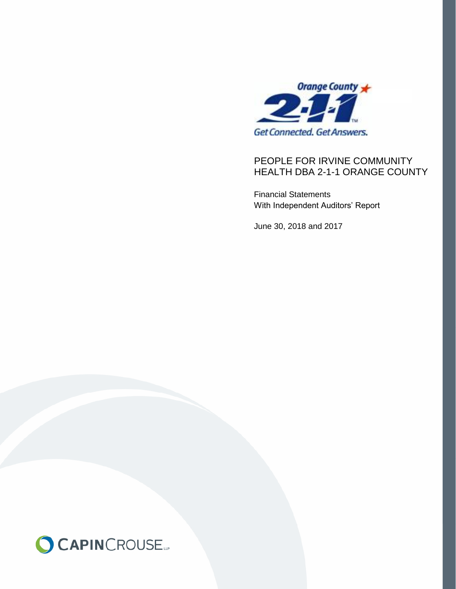

Financial Statements With Independent Auditors' Report

June 30, 2018 and 2017

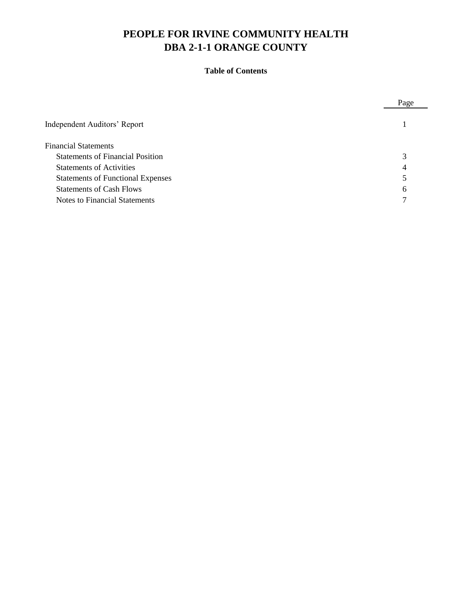### **Table of Contents**

|                                          | Page |
|------------------------------------------|------|
| <b>Independent Auditors' Report</b>      |      |
| <b>Financial Statements</b>              |      |
| <b>Statements of Financial Position</b>  | 3    |
| <b>Statements of Activities</b>          | 4    |
| <b>Statements of Functional Expenses</b> |      |
| <b>Statements of Cash Flows</b>          | 6    |
| <b>Notes to Financial Statements</b>     |      |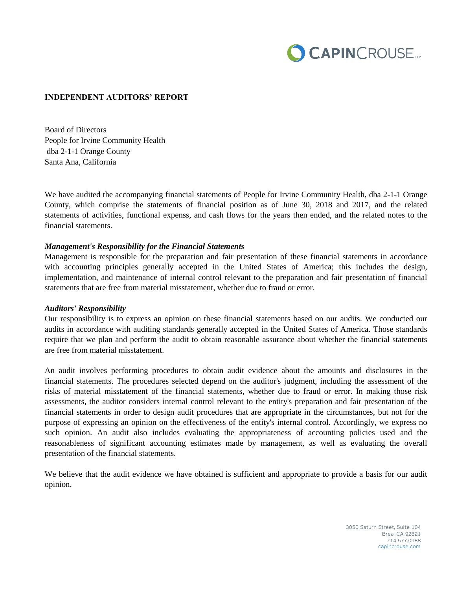

#### **INDEPENDENT AUDITORS' REPORT**

Board of Directors People for Irvine Community Health dba 2-1-1 Orange County Santa Ana, California

We have audited the accompanying financial statements of People for Irvine Community Health, dba 2-1-1 Orange County, which comprise the statements of financial position as of June 30, 2018 and 2017, and the related statements of activities, functional expenss, and cash flows for the years then ended, and the related notes to the financial statements.

#### *Management's Responsibility for the Financial Statements*

Management is responsible for the preparation and fair presentation of these financial statements in accordance with accounting principles generally accepted in the United States of America; this includes the design, implementation, and maintenance of internal control relevant to the preparation and fair presentation of financial statements that are free from material misstatement, whether due to fraud or error.

#### *Auditors' Responsibility*

Our responsibility is to express an opinion on these financial statements based on our audits. We conducted our audits in accordance with auditing standards generally accepted in the United States of America. Those standards require that we plan and perform the audit to obtain reasonable assurance about whether the financial statements are free from material misstatement.

An audit involves performing procedures to obtain audit evidence about the amounts and disclosures in the financial statements. The procedures selected depend on the auditor's judgment, including the assessment of the risks of material misstatement of the financial statements, whether due to fraud or error. In making those risk assessments, the auditor considers internal control relevant to the entity's preparation and fair presentation of the financial statements in order to design audit procedures that are appropriate in the circumstances, but not for the purpose of expressing an opinion on the effectiveness of the entity's internal control. Accordingly, we express no such opinion. An audit also includes evaluating the appropriateness of accounting policies used and the reasonableness of significant accounting estimates made by management, as well as evaluating the overall presentation of the financial statements.

We believe that the audit evidence we have obtained is sufficient and appropriate to provide a basis for our audit opinion.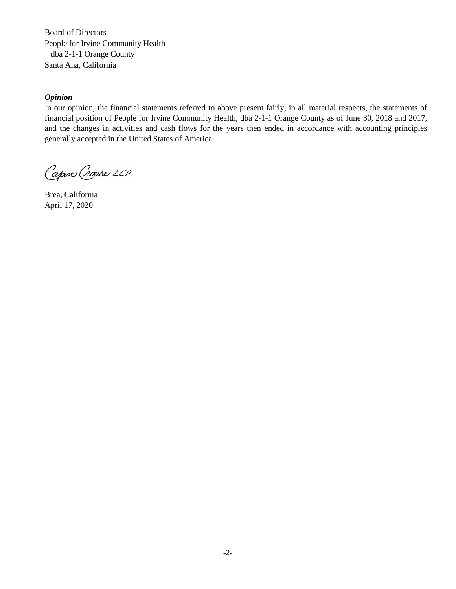Board of Directors people for Irvine Community Health<br>People for Irvine Community Health dba 2-1-1 Orange County Santa Ana, California  $R_{\text{scat}}$  statements are free of material misstatement. An audit includes consideration of internal misstatement. An audit internal misstatement of  $R_{\text{scat}}$ but not for the purpose of expression on the effectiveness of the organization of the organization of the organization of the organization of the organization of the organization of the organization of the organization of  $\frac{1}{2}$  and  $\frac{1}{2}$  reporting  $\frac{1}{2}$  no such opinion. An audit also includes examining, on a test basis, on a test basis, on a test basis, on a test basis, on a test basis, on a test basis, on a test basis, on a te Sunta Ana, Camornia

#### *Opinion*

In our opinion, the financial statements referred to above present fairly, in all material respects, the statements of financial position of People for Irvine Community Health, dba 2-1-1 Orange County as of June 30, 2018 and 2017, and the changes in activities and cash flows for the years then ended in accordance with accounting principles generally accepted in the United States of America.  $\epsilon$ 

Capin Crouse LLP

Brea, California April 17, 2020 December 13, 2012  $\Lambda$ pril 17 2020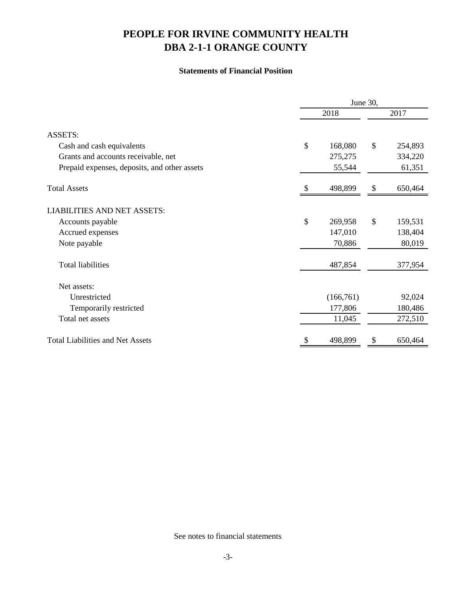### **Statements of Financial Position**

|                                              |    | June 30,  |               |
|----------------------------------------------|----|-----------|---------------|
|                                              |    | 2017      |               |
| <b>ASSETS:</b>                               |    |           |               |
| Cash and cash equivalents                    | \$ | 168,080   | \$<br>254,893 |
| Grants and accounts receivable, net          |    | 275,275   | 334,220       |
| Prepaid expenses, deposits, and other assets |    | 55,544    | 61,351        |
| <b>Total Assets</b>                          |    | 498,899   | \$<br>650,464 |
| <b>LIABILITIES AND NET ASSETS:</b>           |    |           |               |
| Accounts payable                             | \$ | 269,958   | \$<br>159,531 |
| Accrued expenses                             |    | 147,010   | 138,404       |
| Note payable                                 |    | 70,886    | 80,019        |
| <b>Total liabilities</b>                     |    | 487,854   | 377,954       |
| Net assets:                                  |    |           |               |
| Unrestricted                                 |    | (166,761) | 92,024        |
| Temporarily restricted                       |    | 177,806   | 180,486       |
| Total net assets                             |    | 11,045    | 272,510       |
| <b>Total Liabilities and Net Assets</b>      |    | 498,899   | \$<br>650,464 |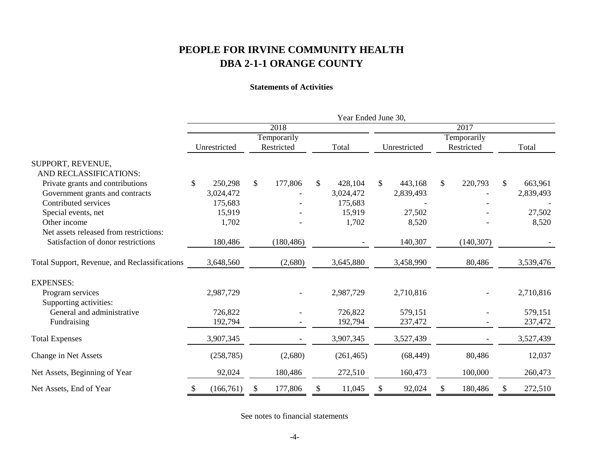#### **Statements of Activities**

|                                               | Year Ended June 30, |            |              |             |              |            |              |           |              |            |    |           |
|-----------------------------------------------|---------------------|------------|--------------|-------------|--------------|------------|--------------|-----------|--------------|------------|----|-----------|
|                                               | 2018                |            |              |             |              |            |              |           |              | 2017       |    |           |
|                                               | Temporarily         |            |              | Temporarily |              |            |              |           |              |            |    |           |
|                                               | Unrestricted        |            | Restricted   |             | Total        |            | Unrestricted |           |              | Restricted |    | Total     |
| SUPPORT, REVENUE,<br>AND RECLASSIFICATIONS:   |                     |            |              |             |              |            |              |           |              |            |    |           |
| Private grants and contributions              | $\mathcal{S}$       | 250,298    | $\mathbb{S}$ | 177,806     | $\mathbb{S}$ | 428,104    | $\mathbb{S}$ | 443,168   | $\mathbb{S}$ | 220,793    | \$ | 663,961   |
| Government grants and contracts               |                     | 3,024,472  |              |             |              | 3,024,472  |              | 2,839,493 |              |            |    | 2,839,493 |
| Contributed services                          |                     | 175,683    |              |             |              | 175,683    |              |           |              |            |    |           |
| Special events, net                           |                     | 15,919     |              |             |              | 15,919     |              | 27,502    |              |            |    | 27,502    |
| Other income                                  |                     | 1,702      |              |             |              | 1,702      |              | 8,520     |              |            |    | 8,520     |
| Net assets released from restrictions:        |                     |            |              |             |              |            |              |           |              |            |    |           |
| Satisfaction of donor restrictions            |                     | 180,486    |              | (180, 486)  |              |            |              | 140,307   |              | (140, 307) |    |           |
| Total Support, Revenue, and Reclassifications |                     | 3,648,560  |              | (2,680)     |              | 3,645,880  |              | 3,458,990 |              | 80,486     |    | 3,539,476 |
| <b>EXPENSES:</b>                              |                     |            |              |             |              |            |              |           |              |            |    |           |
| Program services                              |                     | 2,987,729  |              |             |              | 2,987,729  |              | 2,710,816 |              |            |    | 2,710,816 |
| Supporting activities:                        |                     |            |              |             |              |            |              |           |              |            |    |           |
| General and administrative                    |                     | 726,822    |              |             |              | 726,822    |              | 579,151   |              |            |    | 579,151   |
| Fundraising                                   |                     | 192,794    |              |             |              | 192,794    |              | 237,472   |              |            |    | 237,472   |
| <b>Total Expenses</b>                         |                     | 3,907,345  |              |             |              | 3,907,345  |              | 3,527,439 |              |            |    | 3,527,439 |
| Change in Net Assets                          |                     | (258, 785) |              | (2,680)     |              | (261, 465) |              | (68, 449) |              | 80,486     |    | 12,037    |
| Net Assets, Beginning of Year                 |                     | 92,024     |              | 180,486     |              | 272,510    |              | 160,473   |              | 100,000    |    | 260,473   |
| Net Assets, End of Year                       | \$                  | (166,761)  | \$           | 177,806     | \$           | 11,045     | \$           | 92,024    | \$           | 180,486    | \$ | 272,510   |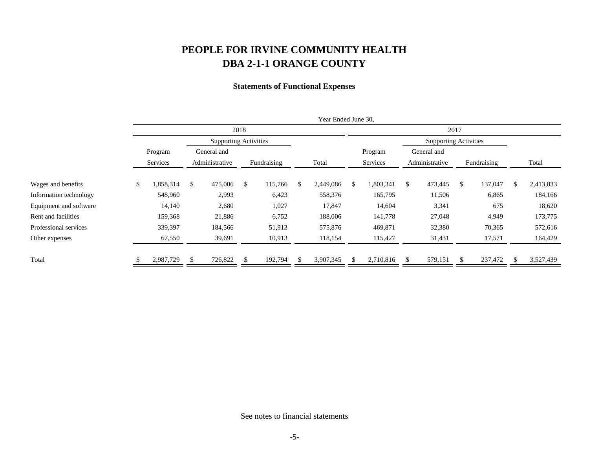### **Statements of Functional Expenses**

|                        |                              |               |                |              |             |               | Year Ended June 30, |               |                              |    |                |               |             |                 |
|------------------------|------------------------------|---------------|----------------|--------------|-------------|---------------|---------------------|---------------|------------------------------|----|----------------|---------------|-------------|-----------------|
|                        | 2018                         |               |                |              |             |               |                     |               |                              |    |                | 2017          |             |                 |
|                        | <b>Supporting Activities</b> |               |                |              |             |               |                     |               | <b>Supporting Activities</b> |    |                |               |             |                 |
|                        | Program                      |               | General and    |              |             |               |                     |               | Program                      |    | General and    |               |             |                 |
|                        | Services                     |               | Administrative |              | Fundraising |               | Total               |               | Services                     |    | Administrative |               | Fundraising | Total           |
| Wages and benefits     | \$<br>1,858,314              | <sup>\$</sup> | 475,006        | $\mathbb{S}$ | 115,766     | <sup>\$</sup> | 2,449,086           | <sup>\$</sup> | 1,803,341                    | \$ | 473,445        | <sup>\$</sup> | 137,047     | \$<br>2,413,833 |
| Information technology | 548,960                      |               | 2,993          |              | 6,423       |               | 558,376             |               | 165,795                      |    | 11,506         |               | 6,865       | 184,166         |
| Equipment and software | 14,140                       |               | 2,680          |              | 1,027       |               | 17,847              |               | 14,604                       |    | 3,341          |               | 675         | 18,620          |
| Rent and facilities    | 159,368                      |               | 21,886         |              | 6,752       |               | 188,006             |               | 141,778                      |    | 27,048         |               | 4,949       | 173,775         |
| Professional services  | 339,397                      |               | 184,566        |              | 51,913      |               | 575,876             |               | 469,871                      |    | 32,380         |               | 70,365      | 572,616         |
| Other expenses         | 67,550                       |               | 39,691         |              | 10,913      |               | 118,154             |               | 115,427                      |    | 31,431         |               | 17,571      | 164,429         |
| Total                  | 2,987,729                    | \$.           | 726,822        | \$           | 192,794     |               | 3,907,345           |               | 2,710,816                    |    | 579,151        | \$            | 237,472     | 3,527,439       |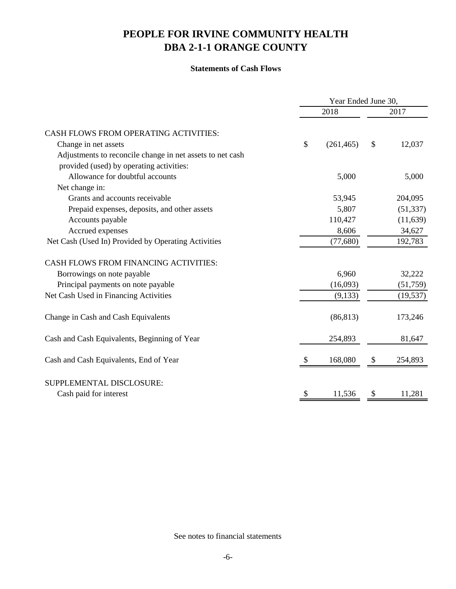#### **Statements of Cash Flows**

|                                                           | Year Ended June 30, |            |    |           |  |
|-----------------------------------------------------------|---------------------|------------|----|-----------|--|
|                                                           |                     | 2018       |    | 2017      |  |
| <b>CASH FLOWS FROM OPERATING ACTIVITIES:</b>              |                     |            |    |           |  |
| Change in net assets                                      | $\mathsf{\$}$       | (261, 465) | \$ | 12,037    |  |
| Adjustments to reconcile change in net assets to net cash |                     |            |    |           |  |
| provided (used) by operating activities:                  |                     |            |    |           |  |
| Allowance for doubtful accounts                           |                     | 5,000      |    | 5,000     |  |
| Net change in:                                            |                     |            |    |           |  |
| Grants and accounts receivable                            |                     | 53,945     |    | 204,095   |  |
| Prepaid expenses, deposits, and other assets              |                     | 5,807      |    | (51, 337) |  |
| Accounts payable                                          |                     | 110,427    |    | (11, 639) |  |
| Accrued expenses                                          |                     | 8,606      |    | 34,627    |  |
| Net Cash (Used In) Provided by Operating Activities       |                     | (77, 680)  |    | 192,783   |  |
| CASH FLOWS FROM FINANCING ACTIVITIES:                     |                     |            |    |           |  |
| Borrowings on note payable                                |                     | 6,960      |    | 32,222    |  |
| Principal payments on note payable                        |                     | (16,093)   |    | (51,759)  |  |
| Net Cash Used in Financing Activities                     |                     | (9,133)    |    | (19, 537) |  |
| Change in Cash and Cash Equivalents                       |                     | (86, 813)  |    | 173,246   |  |
| Cash and Cash Equivalents, Beginning of Year              |                     | 254,893    |    | 81,647    |  |
| Cash and Cash Equivalents, End of Year                    | <sup>\$</sup>       | 168,080    | \$ | 254,893   |  |
| SUPPLEMENTAL DISCLOSURE:                                  |                     |            |    |           |  |
| Cash paid for interest                                    | \$                  | 11,536     | \$ | 11,281    |  |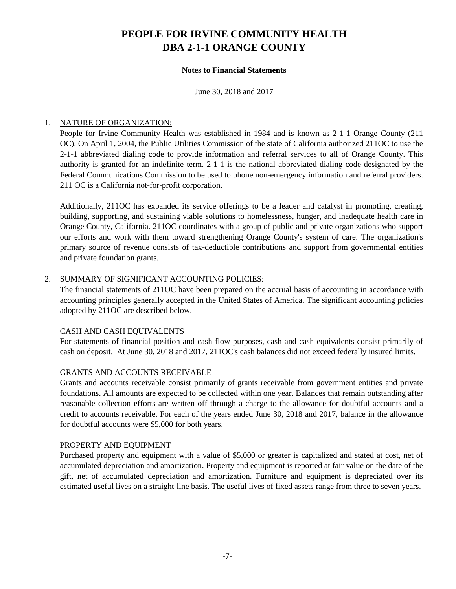#### **Notes to Financial Statements**

June 30, 2018 and 2017

#### 1. NATURE OF ORGANIZATION:

People for Irvine Community Health was established in 1984 and is known as 2-1-1 Orange County (211 OC). On April 1, 2004, the Public Utilities Commission of the state of California authorized 211OC to use the 2-1-1 abbreviated dialing code to provide information and referral services to all of Orange County. This authority is granted for an indefinite term. 2-1-1 is the national abbreviated dialing code designated by the Federal Communications Commission to be used to phone non-emergency information and referral providers. 211 OC is a California not-for-profit corporation.

Additionally, 211OC has expanded its service offerings to be a leader and catalyst in promoting, creating, building, supporting, and sustaining viable solutions to homelessness, hunger, and inadequate health care in Orange County, California. 211OC coordinates with a group of public and private organizations who support our efforts and work with them toward strengthening Orange County's system of care. The organization's primary source of revenue consists of tax-deductible contributions and support from governmental entities and private foundation grants.

#### 2. SUMMARY OF SIGNIFICANT ACCOUNTING POLICIES:

The financial statements of 211OC have been prepared on the accrual basis of accounting in accordance with accounting principles generally accepted in the United States of America. The significant accounting policies adopted by 211OC are described below.

### CASH AND CASH EQUIVALENTS

For statements of financial position and cash flow purposes, cash and cash equivalents consist primarily of cash on deposit. At June 30, 2018 and 2017, 211OC's cash balances did not exceed federally insured limits.

### GRANTS AND ACCOUNTS RECEIVABLE

Grants and accounts receivable consist primarily of grants receivable from government entities and private foundations. All amounts are expected to be collected within one year. Balances that remain outstanding after reasonable collection efforts are written off through a charge to the allowance for doubtful accounts and a credit to accounts receivable. For each of the years ended June 30, 2018 and 2017, balance in the allowance for doubtful accounts were \$5,000 for both years.

#### PROPERTY AND EQUIPMENT

Purchased property and equipment with a value of \$5,000 or greater is capitalized and stated at cost, net of accumulated depreciation and amortization. Property and equipment is reported at fair value on the date of the gift, net of accumulated depreciation and amortization. Furniture and equipment is depreciated over its estimated useful lives on a straight-line basis. The useful lives of fixed assets range from three to seven years.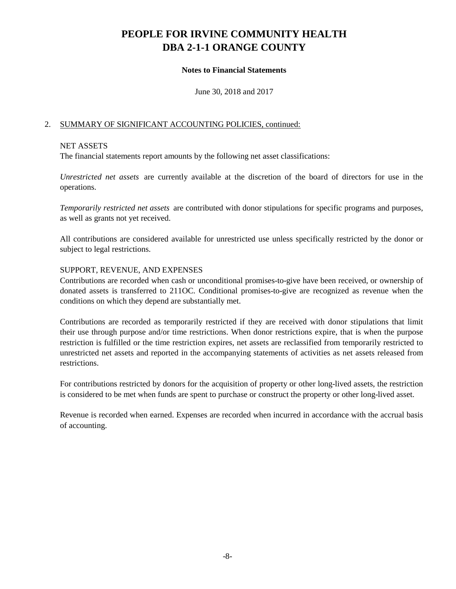### **Notes to Financial Statements**

June 30, 2018 and 2017

### 2. SUMMARY OF SIGNIFICANT ACCOUNTING POLICIES, continued:

#### NET ASSETS

The financial statements report amounts by the following net asset classifications:

*Unrestricted net assets* are currently available at the discretion of the board of directors for use in the operations.

*Temporarily restricted net assets* are contributed with donor stipulations for specific programs and purposes, as well as grants not yet received.

All contributions are considered available for unrestricted use unless specifically restricted by the donor or subject to legal restrictions.

#### SUPPORT, REVENUE, AND EXPENSES

Contributions are recorded when cash or unconditional promises-to-give have been received, or ownership of donated assets is transferred to 211OC. Conditional promises-to-give are recognized as revenue when the conditions on which they depend are substantially met.

Contributions are recorded as temporarily restricted if they are received with donor stipulations that limit their use through purpose and/or time restrictions. When donor restrictions expire, that is when the purpose restriction is fulfilled or the time restriction expires, net assets are reclassified from temporarily restricted to unrestricted net assets and reported in the accompanying statements of activities as net assets released from restrictions.

For contributions restricted by donors for the acquisition of property or other long-lived assets, the restriction is considered to be met when funds are spent to purchase or construct the property or other long-lived asset.

Revenue is recorded when earned. Expenses are recorded when incurred in accordance with the accrual basis of accounting.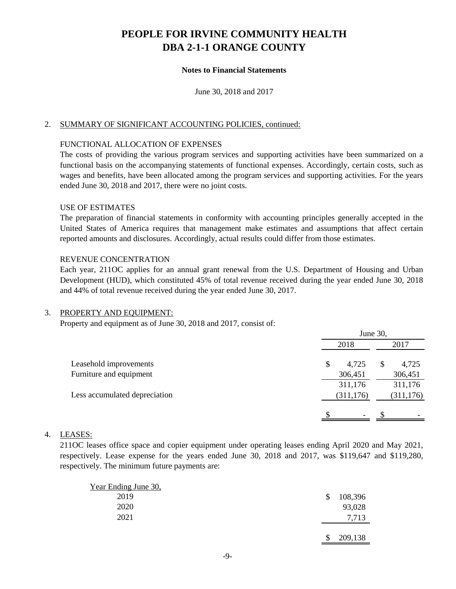#### **Notes to Financial Statements**

June 30, 2018 and 2017

#### 2. SUMMARY OF SIGNIFICANT ACCOUNTING POLICIES, continued:

#### FUNCTIONAL ALLOCATION OF EXPENSES

The costs of providing the various program services and supporting activities have been summarized on a functional basis on the accompanying statements of functional expenses. Accordingly, certain costs, such as wages and benefits, have been allocated among the program services and supporting activities. For the years ended June 30, 2018 and 2017, there were no joint costs.

#### USE OF ESTIMATES

The preparation of financial statements in conformity with accounting principles generally accepted in the United States of America requires that management make estimates and assumptions that affect certain reported amounts and disclosures. Accordingly, actual results could differ from those estimates.

#### REVENUE CONCENTRATION

Each year, 211OC applies for an annual grant renewal from the U.S. Department of Housing and Urban Development (HUD), which constituted 45% of total revenue received during the year ended June 30, 2018 and 44% of total revenue received during the year ended June 30, 2017.

#### 3. PROPERTY AND EQUIPMENT:

Property and equipment as of June 30, 2018 and 2017, consist of:

|                               |             | June 30,   |  |  |  |  |
|-------------------------------|-------------|------------|--|--|--|--|
|                               | 2018        | 2017       |  |  |  |  |
| Leasehold improvements        | \$<br>4,725 | 4,725<br>S |  |  |  |  |
| Furniture and equipment       | 306,451     | 306,451    |  |  |  |  |
|                               | 311,176     | 311,176    |  |  |  |  |
| Less accumulated depreciation | (311, 176)  | (311, 176) |  |  |  |  |
|                               |             |            |  |  |  |  |

#### 4. LEASES:

211OC leases office space and copier equipment under operating leases ending April 2020 and May 2021, respectively. Lease expense for the years ended June 30, 2018 and 2017, was \$119,647 and \$119,280, respectively. The minimum future payments are:

| <u>Year Ending June 30,</u> |    |         |
|-----------------------------|----|---------|
| 2019                        | S. | 108,396 |
| 2020                        |    | 93,028  |
| 2021                        |    | 7,713   |
|                             |    |         |
|                             |    | 209,138 |